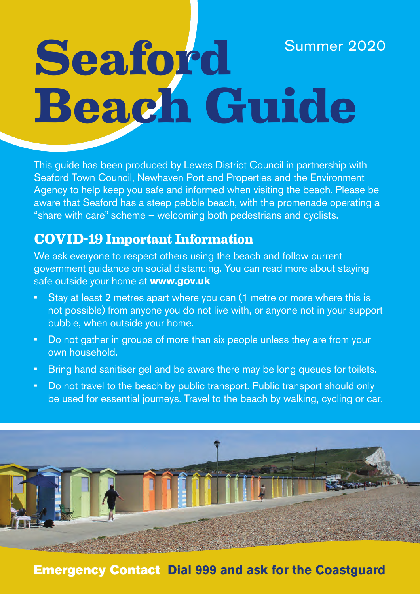## **Seaford Beach Guide** Summer 2020

This guide has been produced by Lewes District Council in partnership with Seaford Town Council, Newhaven Port and Properties and the Environment Agency to help keep you safe and informed when visiting the beach. Please be aware that Seaford has a steep pebble beach, with the promenade operating a "share with care" scheme – welcoming both pedestrians and cyclists.

#### **Covid-19 important information**

We ask everyone to respect others using the beach and follow current government guidance on social distancing. You can read more about staying safe outside your home at **www.gov.uk**

- Stay at least 2 metres apart where you can (1 metre or more where this is not possible) from anyone you do not live with, or anyone not in your support bubble, when outside your home.
- Do not gather in groups of more than six people unless they are from your own household.
- Bring hand sanitiser gel and be aware there may be long queues for toilets.
- Do not travel to the beach by public transport. Public transport should only be used for essential journeys. Travel to the beach by walking, cycling or car.



#### **Emergency Contact Dial 999 and ask for the Coastguard**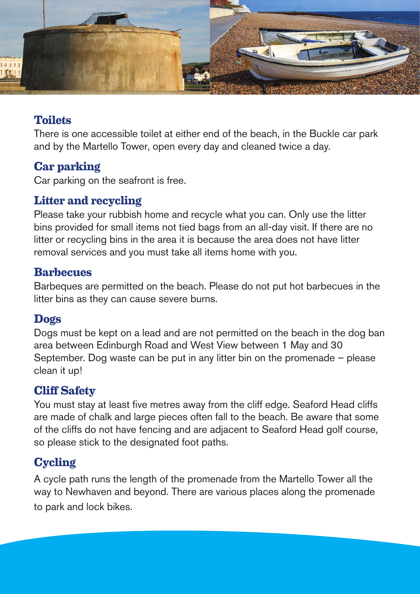

#### **Toilets**

There is one accessible toilet at either end of the beach, in the Buckle car park and by the Martello Tower, open every day and cleaned twice a day.

#### **Car parking**

Car parking on the seafront is free.

#### **Litter and recycling**

Please take your rubbish home and recycle what you can. Only use the litter bins provided for small items not tied bags from an all-day visit. If there are no litter or recycling bins in the area it is because the area does not have litter removal services and you must take all items home with you.

#### **Barbecues**

Barbeques are permitted on the beach. Please do not put hot barbecues in the litter bins as they can cause severe burns.

#### **dogs**

Dogs must be kept on a lead and are not permitted on the beach in the dog ban area between Edinburgh Road and West View between 1 May and 30 September. Dog waste can be put in any litter bin on the promenade – please clean it up!

#### **Cliff Safety**

You must stay at least five metres away from the cliff edge. Seaford Head cliffs are made of chalk and large pieces often fall to the beach. Be aware that some of the cliffs do not have fencing and are adjacent to Seaford Head golf course, so please stick to the designated foot paths.

#### **Cycling**

A cycle path runs the length of the promenade from the Martello Tower all the way to Newhaven and beyond. There are various places along the promenade to park and lock bikes.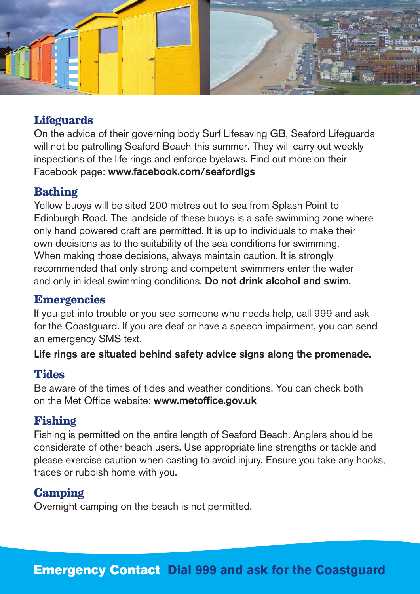

#### **Lifeguards**

On the advice of their governing body Surf Lifesaving GB, Seaford Lifeguards will not be patrolling Seaford Beach this summer. They will carry out weekly inspections of the life rings and enforce byelaws. Find out more on their Facebook page: www.facebook.com/seafordlgs

#### **Bathing**

Yellow buoys will be sited 200 metres out to sea from Splash Point to Edinburgh Road. The landside of these buoys is a safe swimming zone where only hand powered craft are permitted. It is up to individuals to make their own decisions as to the suitability of the sea conditions for swimming. When making those decisions, always maintain caution. It is strongly recommended that only strong and competent swimmers enter the water and only in ideal swimming conditions. Do not drink alcohol and swim.

#### **Emergencies**

If you get into trouble or you see someone who needs help, call 999 and ask for the Coastguard. If you are deaf or have a speech impairment, you can send an emergency SMS text.

Life rings are situated behind safety advice signs along the promenade.

#### **Tides**

Be aware of the times of tides and weather conditions. You can check both on the Met Office website: www.metoffice.gov.uk

#### **Fishing**

Fishing is permitted on the entire length of Seaford Beach. Anglers should be considerate of other beach users. Use appropriate line strengths or tackle and please exercise caution when casting to avoid injury. Ensure you take any hooks, traces or rubbish home with you.

#### **Camping**

Overnight camping on the beach is not permitted.